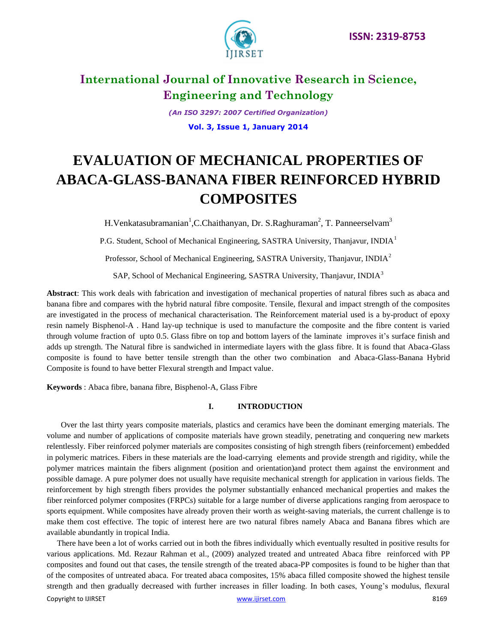

*(An ISO 3297: 2007 Certified Organization)* **Vol. 3, Issue 1, January 2014**

# **EVALUATION OF MECHANICAL PROPERTIES OF ABACA-GLASS-BANANA FIBER REINFORCED HYBRID COMPOSITES**

H. Venkatasubramanian<sup>1</sup>, C. Chaithanyan, Dr. S. Raghuraman<sup>2</sup>, T. Panneerselvam<sup>3</sup>

P.G. Student, School of Mechanical Engineering, SASTRA University, Thanjavur, INDIA<sup>1</sup>

Professor, School of Mechanical Engineering, SASTRA University, Thanjavur, INDIA<sup>2</sup>

SAP, School of Mechanical Engineering, SASTRA University, Thanjavur, INDIA<sup>3</sup>

**Abstract**: This work deals with fabrication and investigation of mechanical properties of natural fibres such as abaca and banana fibre and compares with the hybrid natural fibre composite. Tensile, flexural and impact strength of the composites are investigated in the process of mechanical characterisation. The Reinforcement material used is a by-product of epoxy resin namely Bisphenol-A . Hand lay-up technique is used to manufacture the composite and the fibre content is varied through volume fraction of upto 0.5. Glass fibre on top and bottom layers of the laminate improves it's surface finish and adds up strength. The Natural fibre is sandwiched in intermediate layers with the glass fibre. It is found that Abaca-Glass composite is found to have better tensile strength than the other two combination and Abaca-Glass-Banana Hybrid Composite is found to have better Flexural strength and Impact value.

**Keywords** : Abaca fibre, banana fibre, Bisphenol-A, Glass Fibre

# **I. INTRODUCTION**

 Over the last thirty years composite materials, plastics and ceramics have been the dominant emerging materials. The volume and number of applications of composite materials have grown steadily, penetrating and conquering new markets relentlessly. Fiber reinforced polymer materials are composites consisting of high strength fibers (reinforcement) embedded in polymeric matrices. Fibers in these materials are the load-carrying elements and provide strength and rigidity, while the polymer matrices maintain the fibers alignment (position and orientation)and protect them against the environment and possible damage. A pure polymer does not usually have requisite mechanical strength for application in various fields. The reinforcement by high strength fibers provides the polymer substantially enhanced mechanical properties and makes the fiber reinforced polymer composites (FRPCs) suitable for a large number of diverse applications ranging from aerospace to sports equipment. While composites have already proven their worth as weight-saving materials, the current challenge is to make them cost effective. The topic of interest here are two natural fibres namely Abaca and Banana fibres which are available abundantly in tropical India.

Copyright to IJIRSET [www.ijirset.com](http://www.ijirset.com/) 8169 There have been a lot of works carried out in both the fibres individually which eventually resulted in positive results for various applications. Md. Rezaur Rahman et al., (2009) analyzed treated and untreated Abaca fibre reinforced with PP composites and found out that cases, the tensile strength of the treated abaca-PP composites is found to be higher than that of the composites of untreated abaca. For treated abaca composites, 15% abaca filled composite showed the highest tensile strength and then gradually decreased with further increases in filler loading. In both cases, Young's modulus, flexural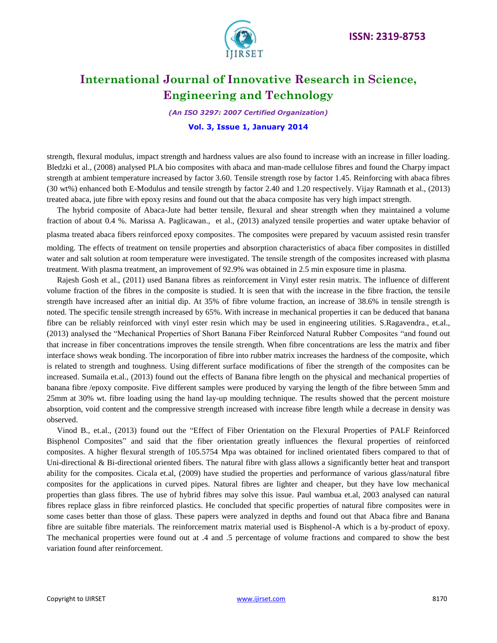

*(An ISO 3297: 2007 Certified Organization)*

#### **Vol. 3, Issue 1, January 2014**

strength, flexural modulus, impact strength and hardness values are also found to increase with an increase in filler loading. Bledzki et al., (2008) analysed PLA bio composites with abaca and man-made cellulose fibres and found the Charpy impact strength at ambient temperature increased by factor 3.60. Tensile strength rose by factor 1.45. Reinforcing with abaca fibres (30 wt%) enhanced both E-Modulus and tensile strength by factor 2.40 and 1.20 respectively. Vijay Ramnath et al., (2013) treated abaca, jute fibre with epoxy resins and found out that the abaca composite has very high impact strength.

 The hybrid composite of Abaca-Jute had better tensile, flexural and shear strength when they maintained a volume fraction of about 0.4 %. Marissa A. Paglicawan., et al., (2013) analyzed tensile properties and water uptake behavior of plasma treated abaca fibers reinforced epoxy composites. The composites were prepared by vacuum assisted resin transfer molding. The effects of treatment on tensile properties and absorption characteristics of abaca fiber composites in distilled water and salt solution at room temperature were investigated. The tensile strength of the composites increased with plasma treatment. With plasma treatment, an improvement of 92.9% was obtained in 2.5 min exposure time in plasma.

 Rajesh Gosh et al., (2011) used Banana fibres as reinforcement in Vinyl ester resin matrix. The influence of different volume fraction of the fibres in the composite is studied. It is seen that with the increase in the fibre fraction, the tensile strength have increased after an initial dip. At 35% of fibre volume fraction, an increase of 38.6% in tensile strength is noted. The specific tensile strength increased by 65%. With increase in mechanical properties it can be deduced that banana fibre can be reliably reinforced with vinyl ester resin which may be used in engineering utilities. S.Ragavendra., et.al., (2013) analysed the "Mechanical Properties of Short Banana Fiber Reinforced Natural Rubber Composites "and found out that increase in fiber concentrations improves the tensile strength. When fibre concentrations are less the matrix and fiber interface shows weak bonding. The incorporation of fibre into rubber matrix increases the hardness of the composite, which is related to strength and toughness. Using different surface modifications of fiber the strength of the composites can be increased. Sumaila et.al., (2013) found out the effects of Banana fibre length on the physical and mechanical properties of banana fibre /epoxy composite. Five different samples were produced by varying the length of the fibre between 5mm and 25mm at 30% wt. fibre loading using the hand lay-up moulding technique. The results showed that the percent moisture absorption, void content and the compressive strength increased with increase fibre length while a decrease in density was observed.

 Vinod B., et.al., (2013) found out the "Effect of Fiber Orientation on the Flexural Properties of PALF Reinforced Bisphenol Composites" and said that the fiber orientation greatly influences the flexural properties of reinforced composites. A higher flexural strength of 105.5754 Mpa was obtained for inclined orientated fibers compared to that of Uni-directional & Bi-directional oriented fibers. The natural fibre with glass allows a significantly better heat and transport ability for the composites. Cicala et.al, (2009) have studied the properties and performance of various glass/natural fibre composites for the applications in curved pipes. Natural fibres are lighter and cheaper, but they have low mechanical properties than glass fibres. The use of hybrid fibres may solve this issue. Paul wambua et.al, 2003 analysed can natural fibres replace glass in fibre reinforced plastics. He concluded that specific properties of natural fibre composites were in some cases better than those of glass. These papers were analyzed in depths and found out that Abaca fibre and Banana fibre are suitable fibre materials. The reinforcement matrix material used is Bisphenol-A which is a by-product of epoxy. The mechanical properties were found out at .4 and .5 percentage of volume fractions and compared to show the best variation found after reinforcement.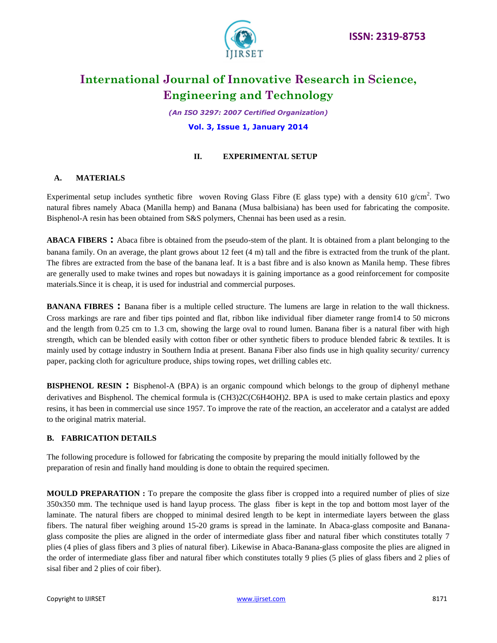

*(An ISO 3297: 2007 Certified Organization)*

#### **Vol. 3, Issue 1, January 2014**

### **II. EXPERIMENTAL SETUP**

## **A. MATERIALS**

Experimental setup includes synthetic fibre woven Roving Glass Fibre (E glass type) with a density 610 g/cm<sup>2</sup>. Two natural fibres namely Abaca (Manilla hemp) and Banana (Musa balbisiana) has been used for fabricating the composite. Bisphenol-A resin has been obtained from S&S polymers, Chennai has been used as a resin.

**ABACA FIBERS :** Abaca fibre is obtained from the pseudo-stem of the plant. It is obtained from a plant belonging to the banana family. On an average, the plant grows about 12 feet (4 m) tall and the fibre is extracted from the trunk of the plant. The fibres are extracted from the base of the banana leaf. It is a bast fibre and is also known as Manila hemp. These fibres are generally used to make twines and ropes but nowadays it is gaining importance as a good reinforcement for composite materials.Since it is cheap, it is used for industrial and commercial purposes.

**BANANA FIBRES** : Banana fiber is a multiple celled structure. The lumens are large in relation to the wall thickness. Cross markings are rare and fiber tips pointed and flat, ribbon like individual fiber diameter range from14 to 50 microns and the length from 0.25 cm to 1.3 cm, showing the large oval to round lumen. Banana fiber is a natural fiber with high strength, which can be blended easily with cotton fiber or other synthetic fibers to produce blended fabric & textiles. It is mainly used by cottage industry in Southern India at present. Banana Fiber also finds use in high quality security/ currency paper, packing cloth for agriculture produce, ships towing ropes, wet drilling cables etc.

**BISPHENOL RESIN :** Bisphenol-A (BPA) is an organic compound which belongs to the group of diphenyl methane derivatives and Bisphenol. The chemical formula is (CH3)2C(C6H4OH)2. BPA is used to make certain plastics and epoxy resins, it has been in commercial use since 1957. To improve the rate of the reaction, an accelerator and a catalyst are added to the original matrix material.

### **B. FABRICATION DETAILS**

The following procedure is followed for fabricating the composite by preparing the mould initially followed by the preparation of resin and finally hand moulding is done to obtain the required specimen.

**MOULD PREPARATION :** To prepare the composite the glass fiber is cropped into a required number of plies of size 350x350 mm. The technique used is hand layup process. The glass fiber is kept in the top and bottom most layer of the laminate. The natural fibers are chopped to minimal desired length to be kept in intermediate layers between the glass fibers. The natural fiber weighing around 15-20 grams is spread in the laminate. In Abaca-glass composite and Bananaglass composite the plies are aligned in the order of intermediate glass fiber and natural fiber which constitutes totally 7 plies (4 plies of glass fibers and 3 plies of natural fiber). Likewise in Abaca-Banana-glass composite the plies are aligned in the order of intermediate glass fiber and natural fiber which constitutes totally 9 plies (5 plies of glass fibers and 2 plies of sisal fiber and 2 plies of coir fiber).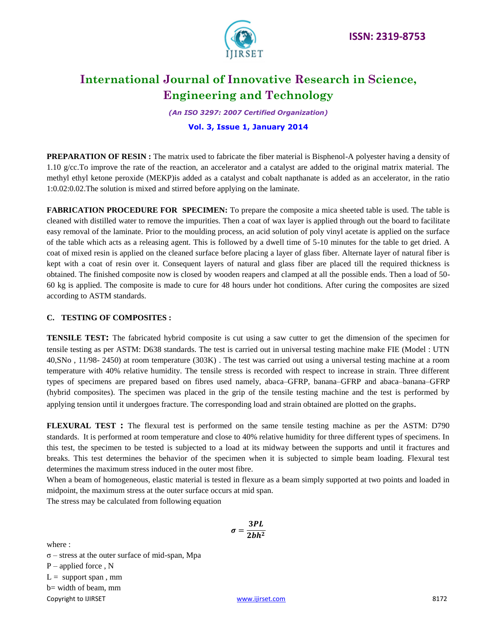

*(An ISO 3297: 2007 Certified Organization)*

### **Vol. 3, Issue 1, January 2014**

**PREPARATION OF RESIN :** The matrix used to fabricate the fiber material is Bisphenol-A polyester having a density of 1.10 g/cc.To improve the rate of the reaction, an accelerator and a catalyst are added to the original matrix material. The methyl ethyl ketone peroxide (MEKP)is added as a catalyst and cobalt napthanate is added as an accelerator, in the ratio 1:0.02:0.02.The solution is mixed and stirred before applying on the laminate.

**FABRICATION PROCEDURE FOR SPECIMEN:** To prepare the composite a mica sheeted table is used. The table is cleaned with distilled water to remove the impurities. Then a coat of wax layer is applied through out the board to facilitate easy removal of the laminate. Prior to the moulding process, an acid solution of poly vinyl acetate is applied on the surface of the table which acts as a releasing agent. This is followed by a dwell time of 5-10 minutes for the table to get dried. A coat of mixed resin is applied on the cleaned surface before placing a layer of glass fiber. Alternate layer of natural fiber is kept with a coat of resin over it. Consequent layers of natural and glass fiber are placed till the required thickness is obtained. The finished composite now is closed by wooden reapers and clamped at all the possible ends. Then a load of 50- 60 kg is applied. The composite is made to cure for 48 hours under hot conditions. After curing the composites are sized according to ASTM standards.

### **C. TESTING OF COMPOSITES :**

**TENSILE TEST:** The fabricated hybrid composite is cut using a saw cutter to get the dimension of the specimen for tensile testing as per ASTM: D638 standards. The test is carried out in universal testing machine make FIE (Model : UTN 40,SNo , 11/98- 2450) at room temperature (303K) . The test was carried out using a universal testing machine at a room temperature with 40% relative humidity. The tensile stress is recorded with respect to increase in strain. Three different types of specimens are prepared based on fibres used namely, abaca–GFRP, banana–GFRP and abaca–banana–GFRP (hybrid composites). The specimen was placed in the grip of the tensile testing machine and the test is performed by applying tension until it undergoes fracture. The corresponding load and strain obtained are plotted on the graphs.

**FLEXURAL TEST :** The flexural test is performed on the same tensile testing machine as per the ASTM: D790 standards. It is performed at room temperature and close to 40% relative humidity for three different types of specimens. In this test, the specimen to be tested is subjected to a load at its midway between the supports and until it fractures and breaks. This test determines the behavior of the specimen when it is subjected to simple beam loading. Flexural test determines the maximum stress induced in the outer most fibre.

When a beam of homogeneous, elastic material is tested in flexure as a beam simply supported at two points and loaded in midpoint, the maximum stress at the outer surface occurs at mid span.

The stress may be calculated from following equation

where :

σ – stress at the outer surface of mid-span, Mpa P – applied force , N

 $L =$  support span, mm b= width of beam, mm

Copyright to IJIRSET 8172

$$
\sigma=\frac{3PL}{2bh^2}
$$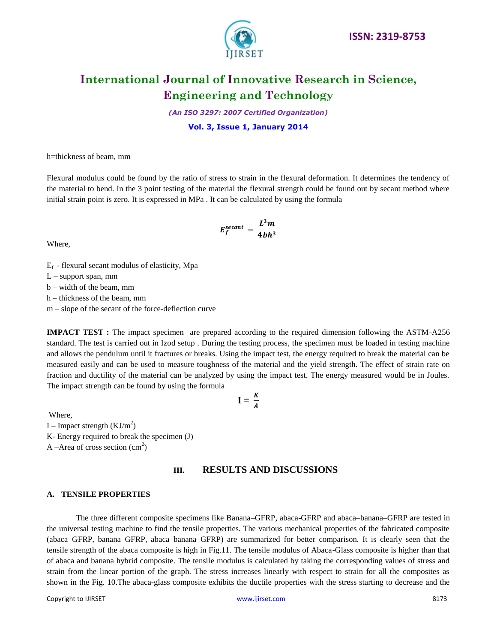

*(An ISO 3297: 2007 Certified Organization)*

#### **Vol. 3, Issue 1, January 2014**

h=thickness of beam, mm

Flexural modulus could be found by the ratio of stress to strain in the flexural deformation. It determines the tendency of the material to bend. In the 3 point testing of the material the flexural strength could be found out by secant method where initial strain point is zero. It is expressed in MPa . It can be calculated by using the formula

$$
E_f^{secant} = \frac{L^3 m}{4bh^3}
$$

Where,

 $E_f$  - flexural secant modulus of elasticity, Mpa

L – support span, mm

b – width of the beam, mm

h – thickness of the beam, mm

m – slope of the secant of the force-deflection curve

**IMPACT TEST :** The impact specimen are prepared according to the required dimension following the ASTM-A256 standard. The test is carried out in Izod setup . During the testing process, the specimen must be loaded in testing machine and allows the pendulum until it fractures or breaks. Using the impact test, the energy required to break the material can be measured easily and can be used to measure toughness of the material and the yield strength. The effect of strain rate on fraction and ductility of the material can be analyzed by using the impact test. The energy measured would be in Joules. The impact strength can be found by using the formula

$$
\mathbf{I} = \frac{K}{A}
$$

Where, I – Impact strength  $(KJ/m^2)$ K- Energy required to break the specimen (J)

A –Area of cross section  $(cm<sup>2</sup>)$ 

## **III. RESULTS AND DISCUSSIONS**

#### **A. TENSILE PROPERTIES**

The three different composite specimens like Banana–GFRP, abaca-GFRP and abaca–banana–GFRP are tested in the universal testing machine to find the tensile properties. The various mechanical properties of the fabricated composite (abaca–GFRP, banana–GFRP, abaca–banana–GFRP) are summarized for better comparison. It is clearly seen that the tensile strength of the abaca composite is high in Fig.11. The tensile modulus of Abaca-Glass composite is higher than that of abaca and banana hybrid composite. The tensile modulus is calculated by taking the corresponding values of stress and strain from the linear portion of the graph. The stress increases linearly with respect to strain for all the composites as shown in the Fig. 10.The abaca-glass composite exhibits the ductile properties with the stress starting to decrease and the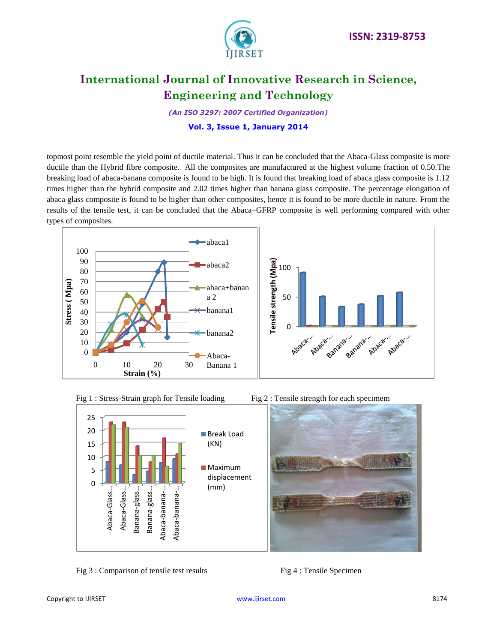

*(An ISO 3297: 2007 Certified Organization)*

### **Vol. 3, Issue 1, January 2014**

topmost point resemble the yield point of ductile material. Thus it can be concluded that the Abaca-Glass composite is more ductile than the Hybrid fibre composite. All the composites are manufactured at the highest volume fraction of 0.50.The breaking load of abaca-banana composite is found to be high. It is found that breaking load of abaca glass composite is 1.12 times higher than the hybrid composite and 2.02 times higher than banana glass composite. The percentage elongation of abaca glass composite is found to be higher than other composites, hence it is found to be more ductile in nature. From the results of the tensile test, it can be concluded that the Abaca–GFRP composite is well performing compared with other types of composites.







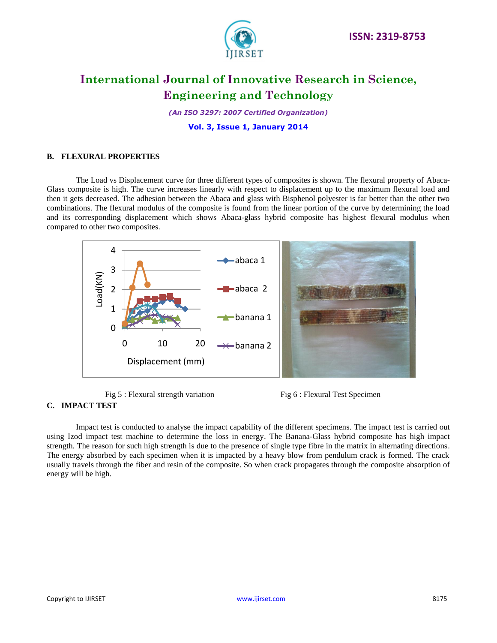

*(An ISO 3297: 2007 Certified Organization)*

**Vol. 3, Issue 1, January 2014**

### **B. FLEXURAL PROPERTIES**

The Load vs Displacement curve for three different types of composites is shown. The flexural property of Abaca-Glass composite is high. The curve increases linearly with respect to displacement up to the maximum flexural load and then it gets decreased. The adhesion between the Abaca and glass with Bisphenol polyester is far better than the other two combinations. The flexural modulus of the composite is found from the linear portion of the curve by determining the load and its corresponding displacement which shows Abaca-glass hybrid composite has highest flexural modulus when compared to other two composites.



- Fig 5 : Flexural strength variation Fig 6 : Flexural Test Specimen
- 

### **C. IMPACT TEST**

Impact test is conducted to analyse the impact capability of the different specimens. The impact test is carried out using Izod impact test machine to determine the loss in energy. The Banana-Glass hybrid composite has high impact strength. The reason for such high strength is due to the presence of single type fibre in the matrix in alternating directions. The energy absorbed by each specimen when it is impacted by a heavy blow from pendulum crack is formed. The crack usually travels through the fiber and resin of the composite. So when crack propagates through the composite absorption of energy will be high.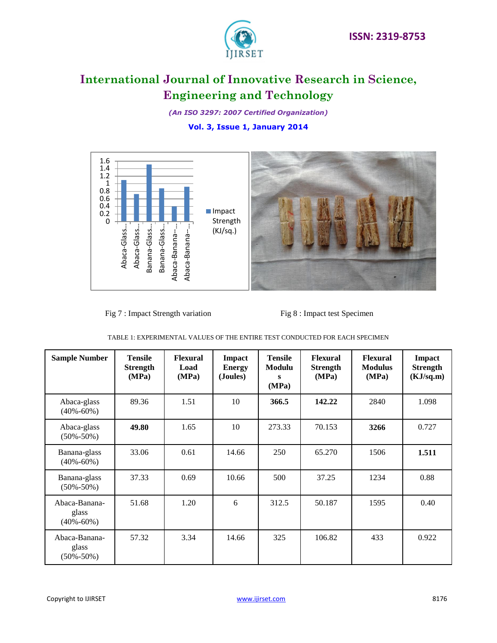

*(An ISO 3297: 2007 Certified Organization)*

# **Vol. 3, Issue 1, January 2014**



Fig 7 : Impact Strength variation Fig 8 : Impact test Specimen

|  | TABLE 1: EXPERIMENTAL VALUES OF THE ENTIRE TEST CONDUCTED FOR EACH SPECIMEN |  |  |  |  |
|--|-----------------------------------------------------------------------------|--|--|--|--|
|--|-----------------------------------------------------------------------------|--|--|--|--|

| <b>Sample Number</b>                      | <b>Tensile</b><br><b>Strength</b><br>(MPa) | <b>Flexural</b><br>Load<br>(MPa) | <b>Impact</b><br><b>Energy</b><br>(Joules) | <b>Tensile</b><br><b>Modulu</b><br>s<br>(MPa) | <b>Flexural</b><br><b>Strength</b><br>(MPa) | <b>Flexural</b><br><b>Modulus</b><br>(MPa) | Impact<br><b>Strength</b><br>(KJ/sq.m) |
|-------------------------------------------|--------------------------------------------|----------------------------------|--------------------------------------------|-----------------------------------------------|---------------------------------------------|--------------------------------------------|----------------------------------------|
| Abaca-glass<br>$(40\% - 60\%)$            | 89.36                                      | 1.51                             | 10                                         | 366.5                                         | 142.22                                      | 2840                                       | 1.098                                  |
| Abaca-glass<br>$(50\% - 50\%)$            | 49.80                                      | 1.65                             | 10                                         | 273.33                                        | 70.153                                      | 3266                                       | 0.727                                  |
| Banana-glass<br>$(40\% - 60\%)$           | 33.06                                      | 0.61                             | 14.66                                      | 250                                           | 65.270                                      | 1506                                       | 1.511                                  |
| Banana-glass<br>$(50\% - 50\%)$           | 37.33                                      | 0.69                             | 10.66                                      | 500                                           | 37.25                                       | 1234                                       | 0.88                                   |
| Abaca-Banana-<br>glass<br>$(40\% - 60\%)$ | 51.68                                      | 1.20                             | 6                                          | 312.5                                         | 50.187                                      | 1595                                       | 0.40                                   |
| Abaca-Banana-<br>glass<br>$(50\% - 50\%)$ | 57.32                                      | 3.34                             | 14.66                                      | 325                                           | 106.82                                      | 433                                        | 0.922                                  |